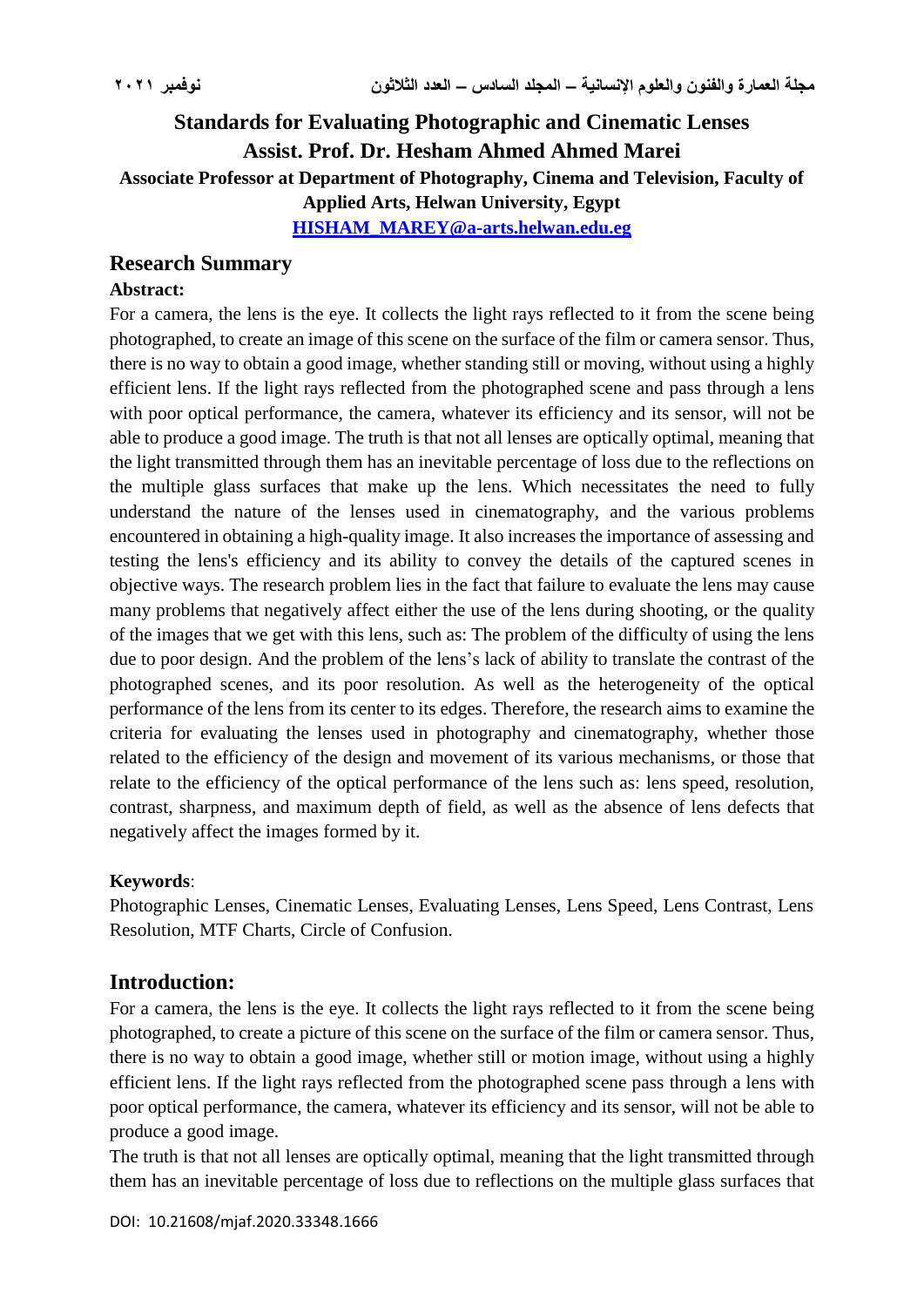# **Standards for Evaluating Photographic and Cinematic Lenses Assist. Prof. Dr. Hesham Ahmed Ahmed Marei Associate Professor at Department of Photography, Cinema and Television, Faculty of Applied Arts, Helwan University, Egypt**

**[HISHAM\\_MAREY@a-arts.helwan.edu.eg](mailto:HISHAM_MAREY@a-arts.helwan.edu.eg)**

# **Research Summary**

### **Abstract:**

For a camera, the lens is the eye. It collects the light rays reflected to it from the scene being photographed, to create an image of this scene on the surface of the film or camera sensor. Thus, there is no way to obtain a good image, whether standing still or moving, without using a highly efficient lens. If the light rays reflected from the photographed scene and pass through a lens with poor optical performance, the camera, whatever its efficiency and its sensor, will not be able to produce a good image. The truth is that not all lenses are optically optimal, meaning that the light transmitted through them has an inevitable percentage of loss due to the reflections on the multiple glass surfaces that make up the lens. Which necessitates the need to fully understand the nature of the lenses used in cinematography, and the various problems encountered in obtaining a high-quality image. It also increases the importance of assessing and testing the lens's efficiency and its ability to convey the details of the captured scenes in objective ways. The research problem lies in the fact that failure to evaluate the lens may cause many problems that negatively affect either the use of the lens during shooting, or the quality of the images that we get with this lens, such as: The problem of the difficulty of using the lens due to poor design. And the problem of the lens's lack of ability to translate the contrast of the photographed scenes, and its poor resolution. As well as the heterogeneity of the optical performance of the lens from its center to its edges. Therefore, the research aims to examine the criteria for evaluating the lenses used in photography and cinematography, whether those related to the efficiency of the design and movement of its various mechanisms, or those that relate to the efficiency of the optical performance of the lens such as: lens speed, resolution, contrast, sharpness, and maximum depth of field, as well as the absence of lens defects that negatively affect the images formed by it.

# **Keywords**:

Photographic Lenses, Cinematic Lenses, Evaluating Lenses, Lens Speed, Lens Contrast, Lens Resolution, MTF Charts, Circle of Confusion.

# **Introduction:**

For a camera, the lens is the eye. It collects the light rays reflected to it from the scene being photographed, to create a picture of this scene on the surface of the film or camera sensor. Thus, there is no way to obtain a good image, whether still or motion image, without using a highly efficient lens. If the light rays reflected from the photographed scene pass through a lens with poor optical performance, the camera, whatever its efficiency and its sensor, will not be able to produce a good image.

The truth is that not all lenses are optically optimal, meaning that the light transmitted through them has an inevitable percentage of loss due to reflections on the multiple glass surfaces that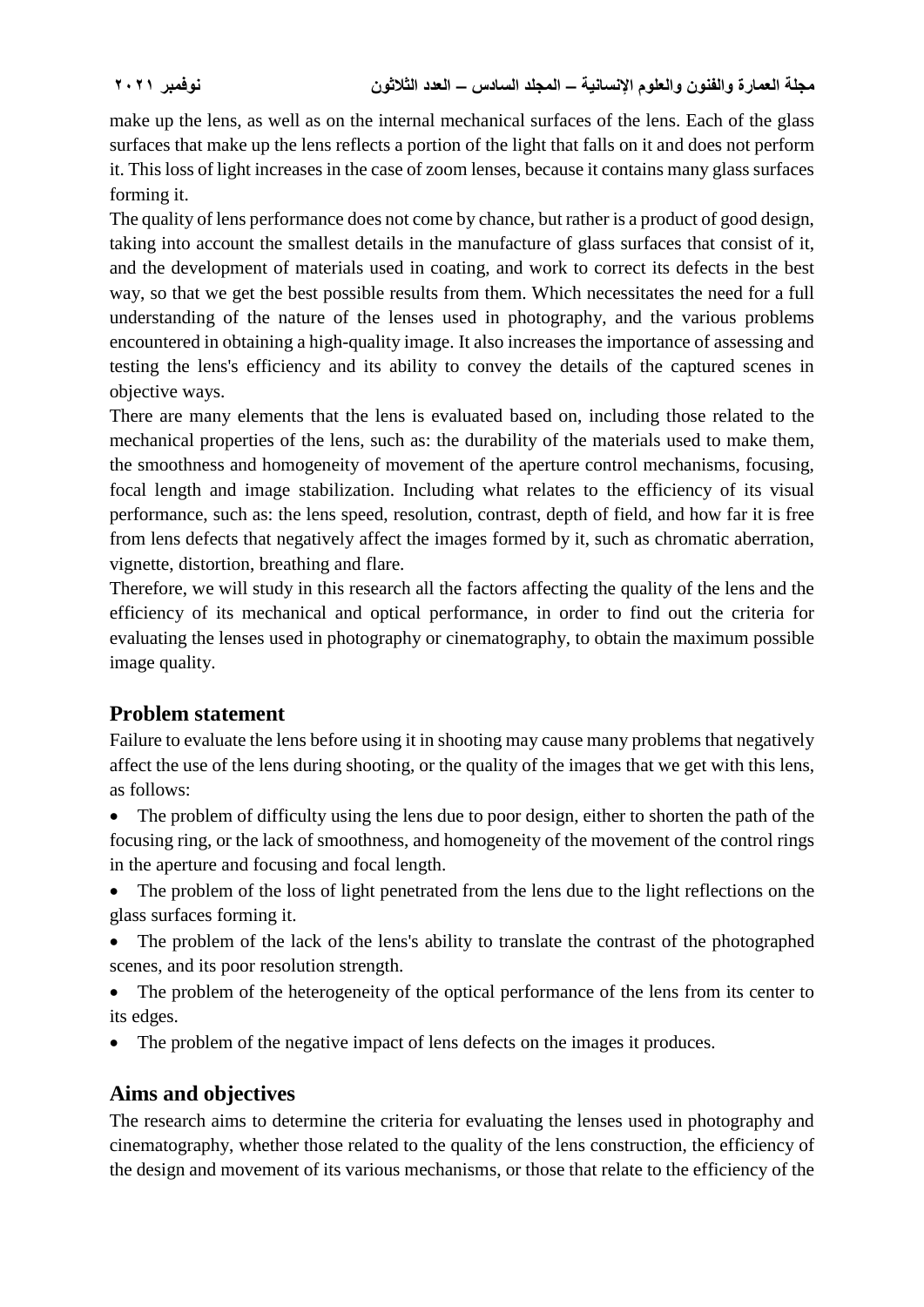make up the lens, as well as on the internal mechanical surfaces of the lens. Each of the glass surfaces that make up the lens reflects a portion of the light that falls on it and does not perform it. This loss of light increases in the case of zoom lenses, because it contains many glass surfaces forming it.

The quality of lens performance does not come by chance, but rather is a product of good design, taking into account the smallest details in the manufacture of glass surfaces that consist of it, and the development of materials used in coating, and work to correct its defects in the best way, so that we get the best possible results from them. Which necessitates the need for a full understanding of the nature of the lenses used in photography, and the various problems encountered in obtaining a high-quality image. It also increases the importance of assessing and testing the lens's efficiency and its ability to convey the details of the captured scenes in objective ways.

There are many elements that the lens is evaluated based on, including those related to the mechanical properties of the lens, such as: the durability of the materials used to make them, the smoothness and homogeneity of movement of the aperture control mechanisms, focusing, focal length and image stabilization. Including what relates to the efficiency of its visual performance, such as: the lens speed, resolution, contrast, depth of field, and how far it is free from lens defects that negatively affect the images formed by it, such as chromatic aberration, vignette, distortion, breathing and flare.

Therefore, we will study in this research all the factors affecting the quality of the lens and the efficiency of its mechanical and optical performance, in order to find out the criteria for evaluating the lenses used in photography or cinematography, to obtain the maximum possible image quality.

# **Problem statement**

Failure to evaluate the lens before using it in shooting may cause many problems that negatively affect the use of the lens during shooting, or the quality of the images that we get with this lens, as follows:

• The problem of difficulty using the lens due to poor design, either to shorten the path of the focusing ring, or the lack of smoothness, and homogeneity of the movement of the control rings in the aperture and focusing and focal length.

- The problem of the loss of light penetrated from the lens due to the light reflections on the glass surfaces forming it.
- The problem of the lack of the lens's ability to translate the contrast of the photographed scenes, and its poor resolution strength.
- The problem of the heterogeneity of the optical performance of the lens from its center to its edges.
- The problem of the negative impact of lens defects on the images it produces.

# **Aims and objectives**

The research aims to determine the criteria for evaluating the lenses used in photography and cinematography, whether those related to the quality of the lens construction, the efficiency of the design and movement of its various mechanisms, or those that relate to the efficiency of the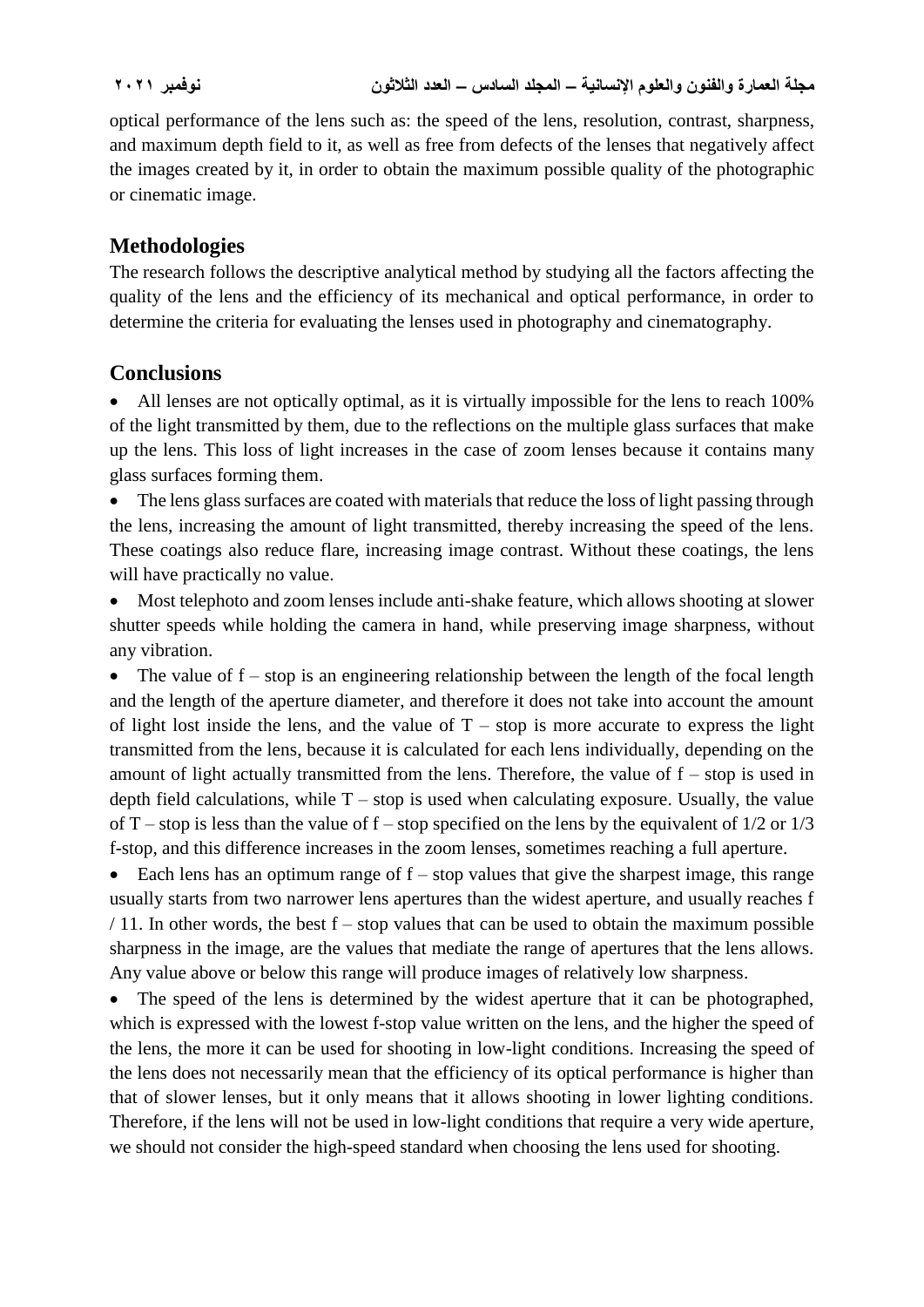optical performance of the lens such as: the speed of the lens, resolution, contrast, sharpness, and maximum depth field to it, as well as free from defects of the lenses that negatively affect the images created by it, in order to obtain the maximum possible quality of the photographic or cinematic image.

# **Methodologies**

The research follows the descriptive analytical method by studying all the factors affecting the quality of the lens and the efficiency of its mechanical and optical performance, in order to determine the criteria for evaluating the lenses used in photography and cinematography.

# **Conclusions**

 All lenses are not optically optimal, as it is virtually impossible for the lens to reach 100% of the light transmitted by them, due to the reflections on the multiple glass surfaces that make up the lens. This loss of light increases in the case of zoom lenses because it contains many glass surfaces forming them.

• The lens glass surfaces are coated with materials that reduce the loss of light passing through the lens, increasing the amount of light transmitted, thereby increasing the speed of the lens. These coatings also reduce flare, increasing image contrast. Without these coatings, the lens will have practically no value.

 Most telephoto and zoom lenses include anti-shake feature, which allows shooting at slower shutter speeds while holding the camera in hand, while preserving image sharpness, without any vibration.

• The value of  $f - stop$  is an engineering relationship between the length of the focal length and the length of the aperture diameter, and therefore it does not take into account the amount of light lost inside the lens, and the value of  $T - stop$  is more accurate to express the light transmitted from the lens, because it is calculated for each lens individually, depending on the amount of light actually transmitted from the lens. Therefore, the value of  $f - stop$  is used in depth field calculations, while  $T -$  stop is used when calculating exposure. Usually, the value of T – stop is less than the value of  $f$  – stop specified on the lens by the equivalent of  $1/2$  or  $1/3$ f-stop, and this difference increases in the zoom lenses, sometimes reaching a full aperture.

 $\bullet$  Each lens has an optimum range of f – stop values that give the sharpest image, this range usually starts from two narrower lens apertures than the widest aperture, and usually reaches f  $/$  11. In other words, the best  $f - stop$  values that can be used to obtain the maximum possible sharpness in the image, are the values that mediate the range of apertures that the lens allows. Any value above or below this range will produce images of relatively low sharpness.

• The speed of the lens is determined by the widest aperture that it can be photographed, which is expressed with the lowest f-stop value written on the lens, and the higher the speed of the lens, the more it can be used for shooting in low-light conditions. Increasing the speed of the lens does not necessarily mean that the efficiency of its optical performance is higher than that of slower lenses, but it only means that it allows shooting in lower lighting conditions. Therefore, if the lens will not be used in low-light conditions that require a very wide aperture, we should not consider the high-speed standard when choosing the lens used for shooting.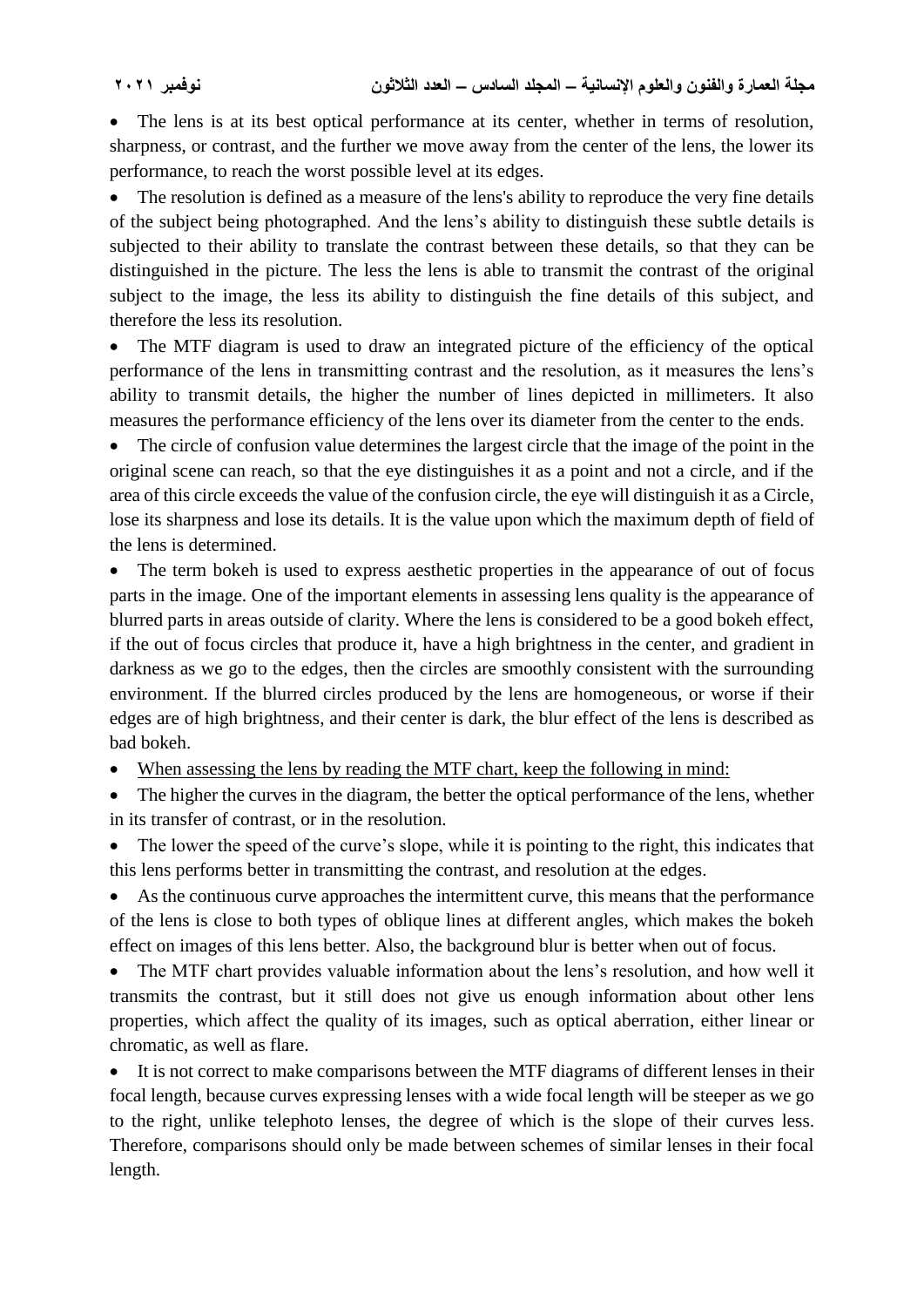• The lens is at its best optical performance at its center, whether in terms of resolution, sharpness, or contrast, and the further we move away from the center of the lens, the lower its performance, to reach the worst possible level at its edges.

 The resolution is defined as a measure of the lens's ability to reproduce the very fine details of the subject being photographed. And the lens's ability to distinguish these subtle details is subjected to their ability to translate the contrast between these details, so that they can be distinguished in the picture. The less the lens is able to transmit the contrast of the original subject to the image, the less its ability to distinguish the fine details of this subject, and therefore the less its resolution.

• The MTF diagram is used to draw an integrated picture of the efficiency of the optical performance of the lens in transmitting contrast and the resolution, as it measures the lens's ability to transmit details, the higher the number of lines depicted in millimeters. It also measures the performance efficiency of the lens over its diameter from the center to the ends.

• The circle of confusion value determines the largest circle that the image of the point in the original scene can reach, so that the eye distinguishes it as a point and not a circle, and if the area of this circle exceeds the value of the confusion circle, the eye will distinguish it as a Circle, lose its sharpness and lose its details. It is the value upon which the maximum depth of field of the lens is determined.

 The term bokeh is used to express aesthetic properties in the appearance of out of focus parts in the image. One of the important elements in assessing lens quality is the appearance of blurred parts in areas outside of clarity. Where the lens is considered to be a good bokeh effect, if the out of focus circles that produce it, have a high brightness in the center, and gradient in darkness as we go to the edges, then the circles are smoothly consistent with the surrounding environment. If the blurred circles produced by the lens are homogeneous, or worse if their edges are of high brightness, and their center is dark, the blur effect of the lens is described as bad bokeh.

• When assessing the lens by reading the MTF chart, keep the following in mind:

• The higher the curves in the diagram, the better the optical performance of the lens, whether in its transfer of contrast, or in the resolution.

 The lower the speed of the curve's slope, while it is pointing to the right, this indicates that this lens performs better in transmitting the contrast, and resolution at the edges.

 As the continuous curve approaches the intermittent curve, this means that the performance of the lens is close to both types of oblique lines at different angles, which makes the bokeh effect on images of this lens better. Also, the background blur is better when out of focus.

• The MTF chart provides valuable information about the lens's resolution, and how well it transmits the contrast, but it still does not give us enough information about other lens properties, which affect the quality of its images, such as optical aberration, either linear or chromatic, as well as flare.

 It is not correct to make comparisons between the MTF diagrams of different lenses in their focal length, because curves expressing lenses with a wide focal length will be steeper as we go to the right, unlike telephoto lenses, the degree of which is the slope of their curves less. Therefore, comparisons should only be made between schemes of similar lenses in their focal length.